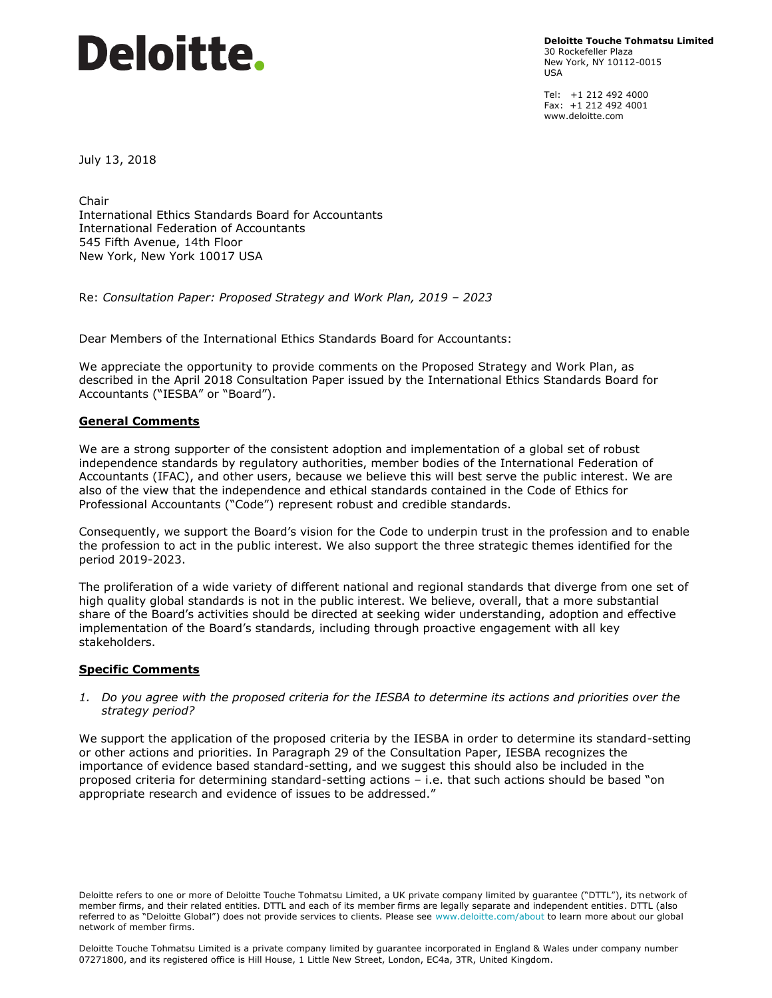# **Deloitte.**

**Deloitte Touche Tohmatsu Limited** 30 Rockefeller Plaza New York, NY 10112-0015 USA

Tel: +1 212 492 4000 Fax: +1 212 492 4001 www.deloitte.com

July 13, 2018

Chair International Ethics Standards Board for Accountants International Federation of Accountants 545 Fifth Avenue, 14th Floor New York, New York 10017 USA

Re: *Consultation Paper: Proposed Strategy and Work Plan, 2019 – 2023*

Dear Members of the International Ethics Standards Board for Accountants:

We appreciate the opportunity to provide comments on the Proposed Strategy and Work Plan, as described in the April 2018 Consultation Paper issued by the International Ethics Standards Board for Accountants ("IESBA" or "Board").

## **General Comments**

We are a strong supporter of the consistent adoption and implementation of a global set of robust independence standards by regulatory authorities, member bodies of the International Federation of Accountants (IFAC), and other users, because we believe this will best serve the public interest. We are also of the view that the independence and ethical standards contained in the Code of Ethics for Professional Accountants ("Code") represent robust and credible standards.

Consequently, we support the Board's vision for the Code to underpin trust in the profession and to enable the profession to act in the public interest. We also support the three strategic themes identified for the period 2019-2023.

The proliferation of a wide variety of different national and regional standards that diverge from one set of high quality global standards is not in the public interest. We believe, overall, that a more substantial share of the Board's activities should be directed at seeking wider understanding, adoption and effective implementation of the Board's standards, including through proactive engagement with all key stakeholders.

# **Specific Comments**

#### *1. Do you agree with the proposed criteria for the IESBA to determine its actions and priorities over the strategy period?*

We support the application of the proposed criteria by the IESBA in order to determine its standard-setting or other actions and priorities. In Paragraph 29 of the Consultation Paper, IESBA recognizes the importance of evidence based standard-setting, and we suggest this should also be included in the proposed criteria for determining standard-setting actions – i.e. that such actions should be based "on appropriate research and evidence of issues to be addressed."

Deloitte refers to one or more of Deloitte Touche Tohmatsu Limited, a UK private company limited by guarantee ("DTTL"), its network of member firms, and their related entities. DTTL and each of its member firms are legally separate and independent entities. DTTL (also referred to as "Deloitte Global") does not provide services to clients. Please see www.deloitte.com/about to learn more about our global network of member firms.

Deloitte Touche Tohmatsu Limited is a private company limited by guarantee incorporated in England & Wales under company number 07271800, and its registered office is Hill House, 1 Little New Street, London, EC4a, 3TR, United Kingdom.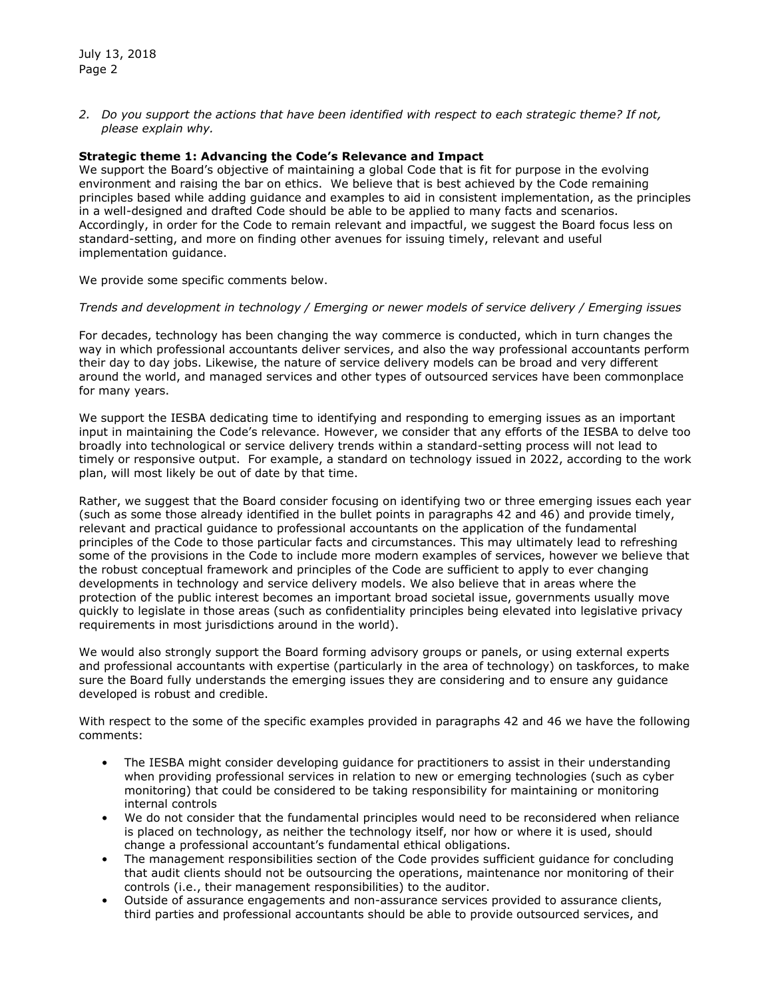*2. Do you support the actions that have been identified with respect to each strategic theme? If not, please explain why.* 

# **Strategic theme 1: Advancing the Code's Relevance and Impact**

We support the Board's objective of maintaining a global Code that is fit for purpose in the evolving environment and raising the bar on ethics. We believe that is best achieved by the Code remaining principles based while adding guidance and examples to aid in consistent implementation, as the principles in a well-designed and drafted Code should be able to be applied to many facts and scenarios. Accordingly, in order for the Code to remain relevant and impactful, we suggest the Board focus less on standard-setting, and more on finding other avenues for issuing timely, relevant and useful implementation guidance.

We provide some specific comments below.

#### *Trends and development in technology / Emerging or newer models of service delivery / Emerging issues*

For decades, technology has been changing the way commerce is conducted, which in turn changes the way in which professional accountants deliver services, and also the way professional accountants perform their day to day jobs. Likewise, the nature of service delivery models can be broad and very different around the world, and managed services and other types of outsourced services have been commonplace for many years.

We support the IESBA dedicating time to identifying and responding to emerging issues as an important input in maintaining the Code's relevance. However, we consider that any efforts of the IESBA to delve too broadly into technological or service delivery trends within a standard-setting process will not lead to timely or responsive output. For example, a standard on technology issued in 2022, according to the work plan, will most likely be out of date by that time.

Rather, we suggest that the Board consider focusing on identifying two or three emerging issues each year (such as some those already identified in the bullet points in paragraphs 42 and 46) and provide timely, relevant and practical guidance to professional accountants on the application of the fundamental principles of the Code to those particular facts and circumstances. This may ultimately lead to refreshing some of the provisions in the Code to include more modern examples of services, however we believe that the robust conceptual framework and principles of the Code are sufficient to apply to ever changing developments in technology and service delivery models. We also believe that in areas where the protection of the public interest becomes an important broad societal issue, governments usually move quickly to legislate in those areas (such as confidentiality principles being elevated into legislative privacy requirements in most jurisdictions around in the world).

We would also strongly support the Board forming advisory groups or panels, or using external experts and professional accountants with expertise (particularly in the area of technology) on taskforces, to make sure the Board fully understands the emerging issues they are considering and to ensure any guidance developed is robust and credible.

With respect to the some of the specific examples provided in paragraphs 42 and 46 we have the following comments:

- The IESBA might consider developing guidance for practitioners to assist in their understanding when providing professional services in relation to new or emerging technologies (such as cyber monitoring) that could be considered to be taking responsibility for maintaining or monitoring internal controls
- We do not consider that the fundamental principles would need to be reconsidered when reliance is placed on technology, as neither the technology itself, nor how or where it is used, should change a professional accountant's fundamental ethical obligations.
- The management responsibilities section of the Code provides sufficient guidance for concluding that audit clients should not be outsourcing the operations, maintenance nor monitoring of their controls (i.e., their management responsibilities) to the auditor.
- Outside of assurance engagements and non-assurance services provided to assurance clients, third parties and professional accountants should be able to provide outsourced services, and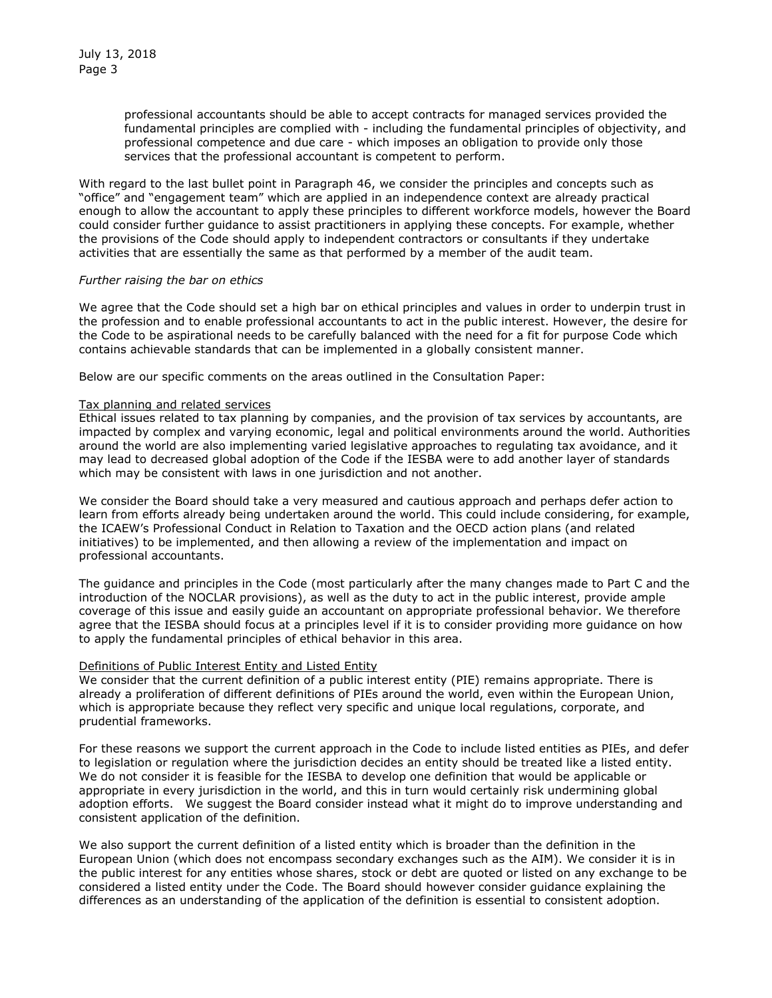professional accountants should be able to accept contracts for managed services provided the fundamental principles are complied with - including the fundamental principles of objectivity, and professional competence and due care - which imposes an obligation to provide only those services that the professional accountant is competent to perform.

With regard to the last bullet point in Paragraph 46, we consider the principles and concepts such as "office" and "engagement team" which are applied in an independence context are already practical enough to allow the accountant to apply these principles to different workforce models, however the Board could consider further guidance to assist practitioners in applying these concepts. For example, whether the provisions of the Code should apply to independent contractors or consultants if they undertake activities that are essentially the same as that performed by a member of the audit team.

## *Further raising the bar on ethics*

We agree that the Code should set a high bar on ethical principles and values in order to underpin trust in the profession and to enable professional accountants to act in the public interest. However, the desire for the Code to be aspirational needs to be carefully balanced with the need for a fit for purpose Code which contains achievable standards that can be implemented in a globally consistent manner.

Below are our specific comments on the areas outlined in the Consultation Paper:

## Tax planning and related services

Ethical issues related to tax planning by companies, and the provision of tax services by accountants, are impacted by complex and varying economic, legal and political environments around the world. Authorities around the world are also implementing varied legislative approaches to regulating tax avoidance, and it may lead to decreased global adoption of the Code if the IESBA were to add another layer of standards which may be consistent with laws in one jurisdiction and not another.

We consider the Board should take a very measured and cautious approach and perhaps defer action to learn from efforts already being undertaken around the world. This could include considering, for example, the ICAEW's Professional Conduct in Relation to Taxation and the OECD action plans (and related initiatives) to be implemented, and then allowing a review of the implementation and impact on professional accountants.

The guidance and principles in the Code (most particularly after the many changes made to Part C and the introduction of the NOCLAR provisions), as well as the duty to act in the public interest, provide ample coverage of this issue and easily guide an accountant on appropriate professional behavior. We therefore agree that the IESBA should focus at a principles level if it is to consider providing more guidance on how to apply the fundamental principles of ethical behavior in this area.

#### Definitions of Public Interest Entity and Listed Entity

We consider that the current definition of a public interest entity (PIE) remains appropriate. There is already a proliferation of different definitions of PIEs around the world, even within the European Union, which is appropriate because they reflect very specific and unique local regulations, corporate, and prudential frameworks.

For these reasons we support the current approach in the Code to include listed entities as PIEs, and defer to legislation or regulation where the jurisdiction decides an entity should be treated like a listed entity. We do not consider it is feasible for the IESBA to develop one definition that would be applicable or appropriate in every jurisdiction in the world, and this in turn would certainly risk undermining global adoption efforts. We suggest the Board consider instead what it might do to improve understanding and consistent application of the definition.

We also support the current definition of a listed entity which is broader than the definition in the European Union (which does not encompass secondary exchanges such as the AIM). We consider it is in the public interest for any entities whose shares, stock or debt are quoted or listed on any exchange to be considered a listed entity under the Code. The Board should however consider guidance explaining the differences as an understanding of the application of the definition is essential to consistent adoption.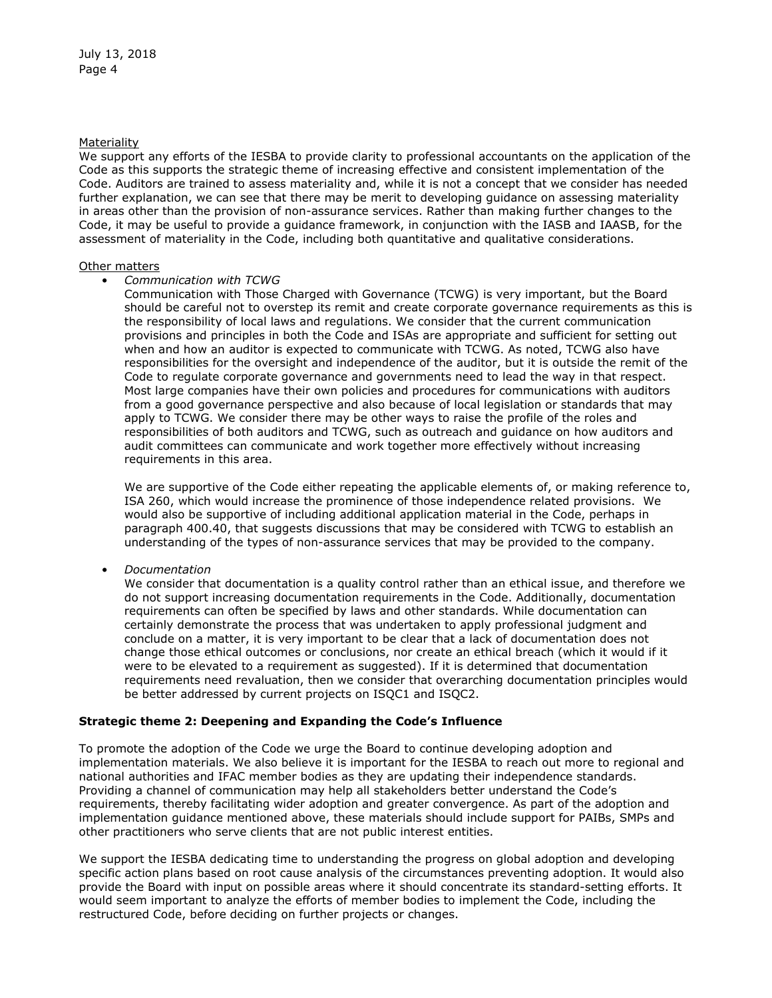## Materiality

We support any efforts of the IESBA to provide clarity to professional accountants on the application of the Code as this supports the strategic theme of increasing effective and consistent implementation of the Code. Auditors are trained to assess materiality and, while it is not a concept that we consider has needed further explanation, we can see that there may be merit to developing guidance on assessing materiality in areas other than the provision of non-assurance services. Rather than making further changes to the Code, it may be useful to provide a guidance framework, in conjunction with the IASB and IAASB, for the assessment of materiality in the Code, including both quantitative and qualitative considerations.

#### Other matters

• *Communication with TCWG*

Communication with Those Charged with Governance (TCWG) is very important, but the Board should be careful not to overstep its remit and create corporate governance requirements as this is the responsibility of local laws and regulations. We consider that the current communication provisions and principles in both the Code and ISAs are appropriate and sufficient for setting out when and how an auditor is expected to communicate with TCWG. As noted, TCWG also have responsibilities for the oversight and independence of the auditor, but it is outside the remit of the Code to regulate corporate governance and governments need to lead the way in that respect. Most large companies have their own policies and procedures for communications with auditors from a good governance perspective and also because of local legislation or standards that may apply to TCWG. We consider there may be other ways to raise the profile of the roles and responsibilities of both auditors and TCWG, such as outreach and guidance on how auditors and audit committees can communicate and work together more effectively without increasing requirements in this area.

We are supportive of the Code either repeating the applicable elements of, or making reference to, ISA 260, which would increase the prominence of those independence related provisions. We would also be supportive of including additional application material in the Code, perhaps in paragraph 400.40, that suggests discussions that may be considered with TCWG to establish an understanding of the types of non-assurance services that may be provided to the company.

• *Documentation*

We consider that documentation is a quality control rather than an ethical issue, and therefore we do not support increasing documentation requirements in the Code. Additionally, documentation requirements can often be specified by laws and other standards. While documentation can certainly demonstrate the process that was undertaken to apply professional judgment and conclude on a matter, it is very important to be clear that a lack of documentation does not change those ethical outcomes or conclusions, nor create an ethical breach (which it would if it were to be elevated to a requirement as suggested). If it is determined that documentation requirements need revaluation, then we consider that overarching documentation principles would be better addressed by current projects on ISQC1 and ISQC2.

# **Strategic theme 2: Deepening and Expanding the Code's Influence**

To promote the adoption of the Code we urge the Board to continue developing adoption and implementation materials. We also believe it is important for the IESBA to reach out more to regional and national authorities and IFAC member bodies as they are updating their independence standards. Providing a channel of communication may help all stakeholders better understand the Code's requirements, thereby facilitating wider adoption and greater convergence. As part of the adoption and implementation guidance mentioned above, these materials should include support for PAIBs, SMPs and other practitioners who serve clients that are not public interest entities.

We support the IESBA dedicating time to understanding the progress on global adoption and developing specific action plans based on root cause analysis of the circumstances preventing adoption. It would also provide the Board with input on possible areas where it should concentrate its standard-setting efforts. It would seem important to analyze the efforts of member bodies to implement the Code, including the restructured Code, before deciding on further projects or changes.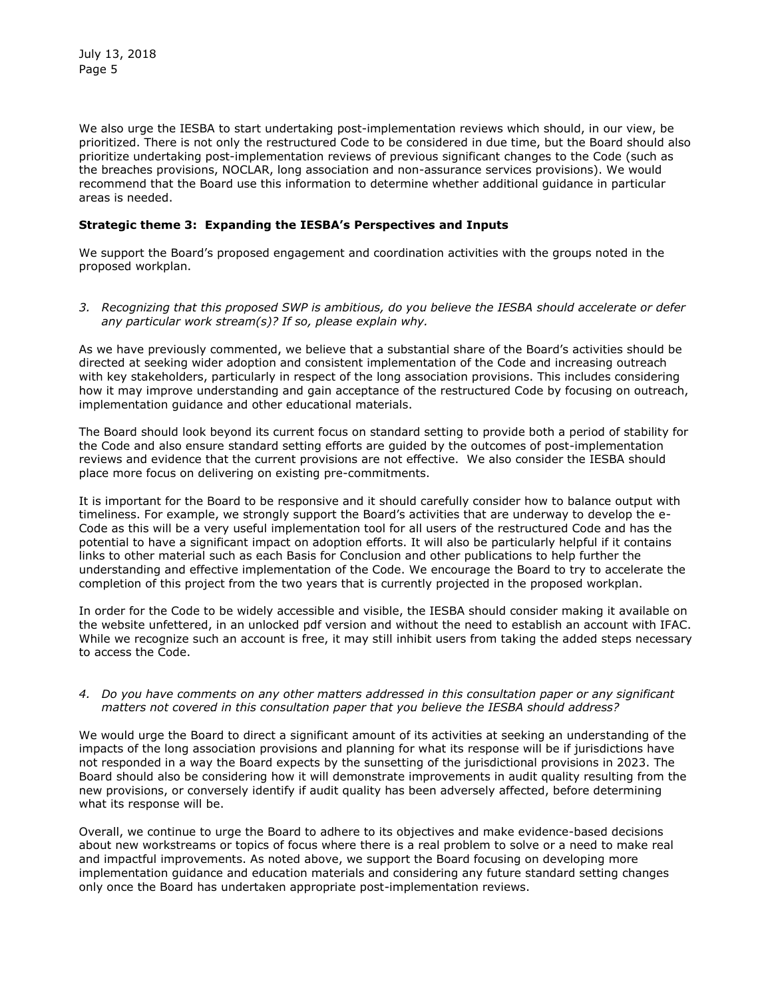We also urge the IESBA to start undertaking post-implementation reviews which should, in our view, be prioritized. There is not only the restructured Code to be considered in due time, but the Board should also prioritize undertaking post-implementation reviews of previous significant changes to the Code (such as the breaches provisions, NOCLAR, long association and non-assurance services provisions). We would recommend that the Board use this information to determine whether additional guidance in particular areas is needed.

# **Strategic theme 3: Expanding the IESBA's Perspectives and Inputs**

We support the Board's proposed engagement and coordination activities with the groups noted in the proposed workplan.

*3. Recognizing that this proposed SWP is ambitious, do you believe the IESBA should accelerate or defer any particular work stream(s)? If so, please explain why.* 

As we have previously commented, we believe that a substantial share of the Board's activities should be directed at seeking wider adoption and consistent implementation of the Code and increasing outreach with key stakeholders, particularly in respect of the long association provisions. This includes considering how it may improve understanding and gain acceptance of the restructured Code by focusing on outreach, implementation guidance and other educational materials.

The Board should look beyond its current focus on standard setting to provide both a period of stability for the Code and also ensure standard setting efforts are guided by the outcomes of post-implementation reviews and evidence that the current provisions are not effective. We also consider the IESBA should place more focus on delivering on existing pre-commitments.

It is important for the Board to be responsive and it should carefully consider how to balance output with timeliness. For example, we strongly support the Board's activities that are underway to develop the e-Code as this will be a very useful implementation tool for all users of the restructured Code and has the potential to have a significant impact on adoption efforts. It will also be particularly helpful if it contains links to other material such as each Basis for Conclusion and other publications to help further the understanding and effective implementation of the Code. We encourage the Board to try to accelerate the completion of this project from the two years that is currently projected in the proposed workplan.

In order for the Code to be widely accessible and visible, the IESBA should consider making it available on the website unfettered, in an unlocked pdf version and without the need to establish an account with IFAC. While we recognize such an account is free, it may still inhibit users from taking the added steps necessary to access the Code.

#### *4. Do you have comments on any other matters addressed in this consultation paper or any significant matters not covered in this consultation paper that you believe the IESBA should address?*

We would urge the Board to direct a significant amount of its activities at seeking an understanding of the impacts of the long association provisions and planning for what its response will be if jurisdictions have not responded in a way the Board expects by the sunsetting of the jurisdictional provisions in 2023. The Board should also be considering how it will demonstrate improvements in audit quality resulting from the new provisions, or conversely identify if audit quality has been adversely affected, before determining what its response will be.

Overall, we continue to urge the Board to adhere to its objectives and make evidence-based decisions about new workstreams or topics of focus where there is a real problem to solve or a need to make real and impactful improvements. As noted above, we support the Board focusing on developing more implementation guidance and education materials and considering any future standard setting changes only once the Board has undertaken appropriate post-implementation reviews.